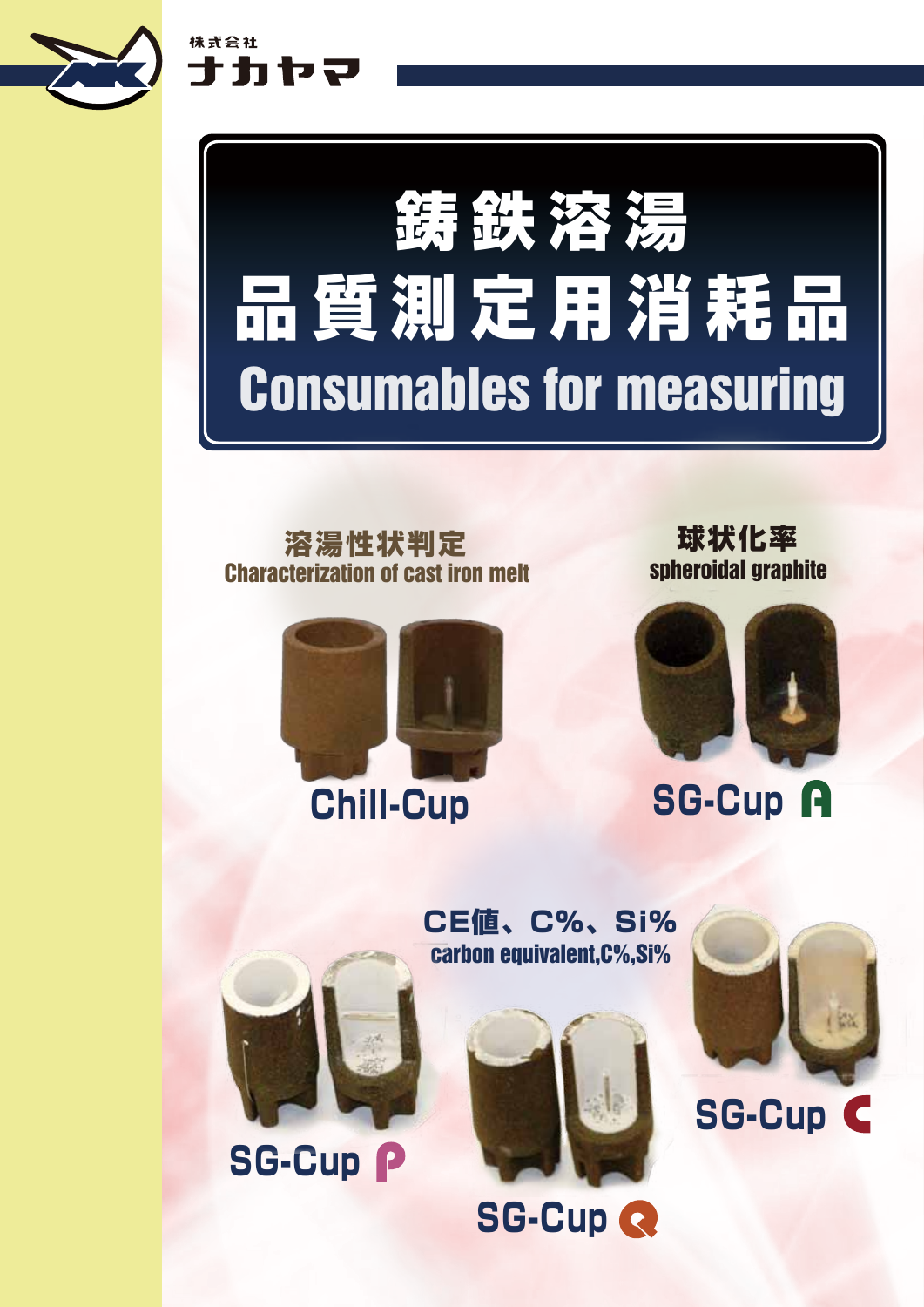

株式会社

ナカヤマ

# Consumables for measuring 鋳鉄溶湯 品質測定用消耗品

#### 溶湯性状判定 Characterization of cast iron melt



球状化率 spheroidal graphite



carbon equivalent,C%,Si% CE値、C%、Si%



**SG-Cup P** 







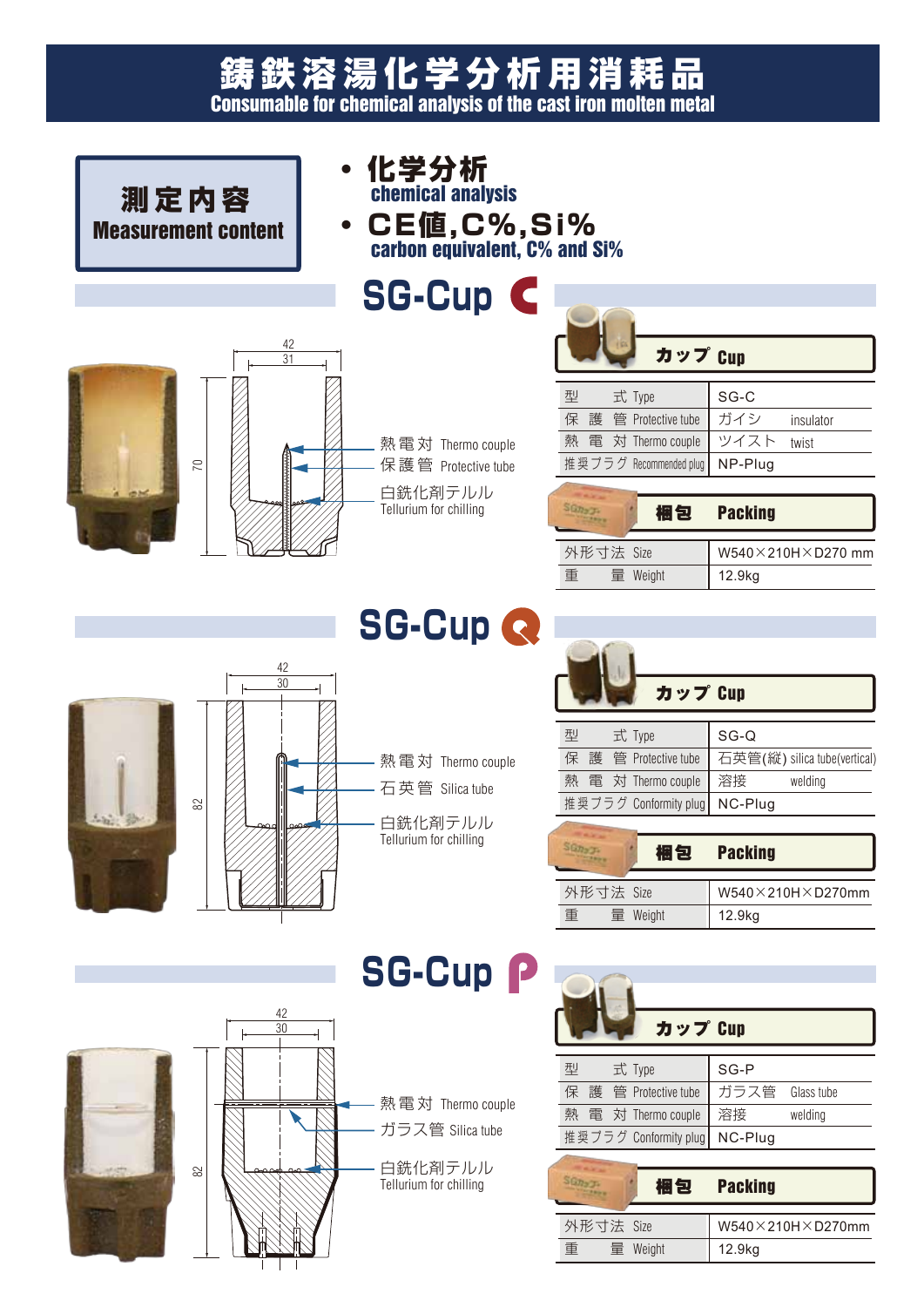#### Consumable for chemical analysis of the cast iron molten metal 鋳鉄溶湯化学分析用消耗品

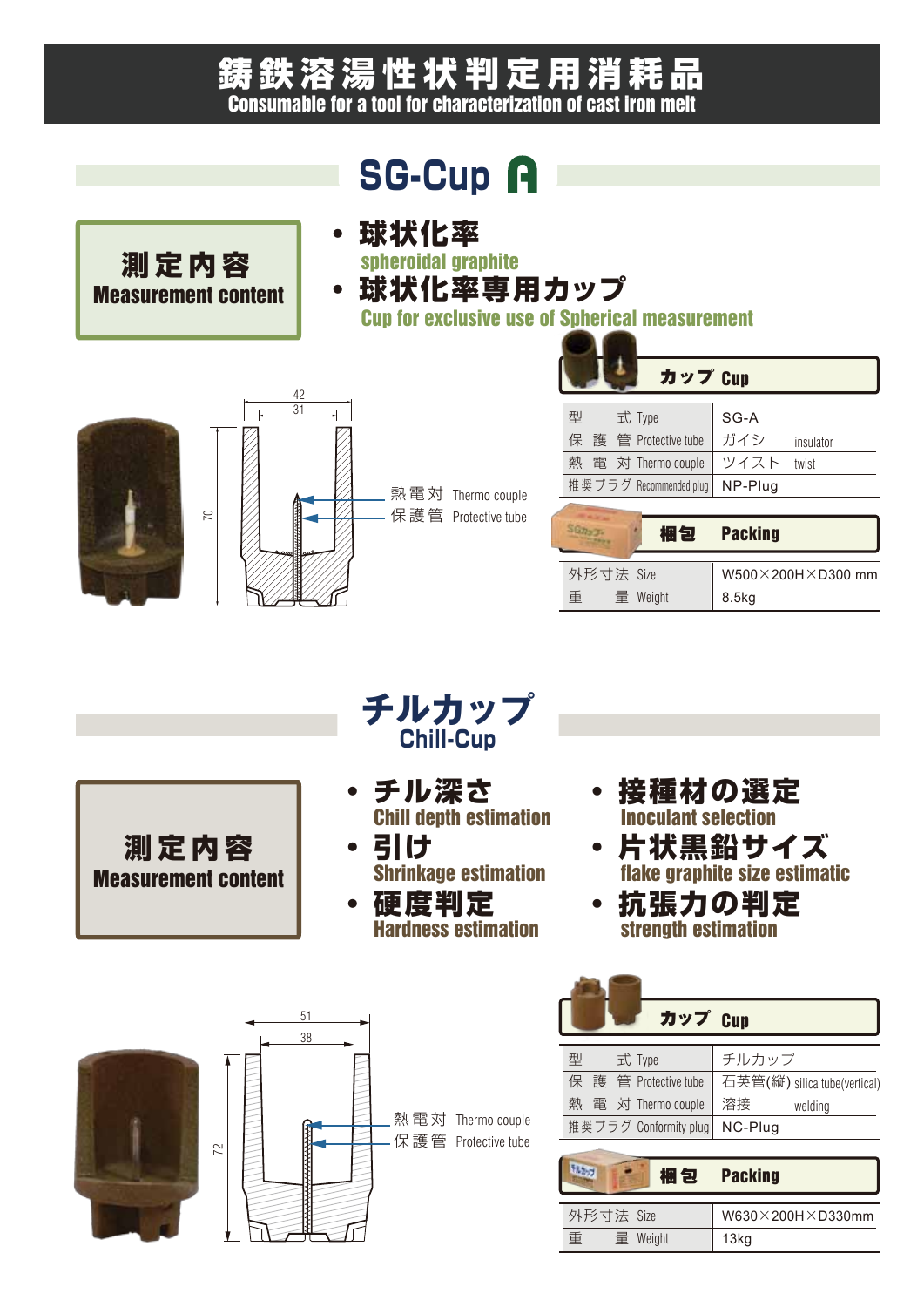#### 鋳鉄溶湯性状判定用消耗品 Consumable for a tool for characterization of cast iron melt

## **SG-Cup A**



spheroidal graphite

・ 球状化率専用カップ

Cup for exclusive use of Spherical measurement





70

測定内容 Measurement content

熱電対 Thermo couple Protective tube 保 護 管

| カップ Cup |  |  |                        |         |           |
|---------|--|--|------------------------|---------|-----------|
| 型       |  |  | 式 Type                 | SG-A    |           |
| 保       |  |  | 護 管 Protective tube    | ガイシ     | insulator |
| 熱       |  |  | 電 対 Thermo couple      | ツイスト    | twist     |
|         |  |  | 推奨プラグ Recommended plug | NP-Plug |           |

|           |  | 梱包       | <b>Packing</b>    |  |
|-----------|--|----------|-------------------|--|
|           |  |          |                   |  |
| 外形寸法 Size |  |          | W500×200H×D300 mm |  |
| 臿         |  | 量 Weight | 8.5 <sub>kg</sub> |  |

測定内容 Measurement content



- ・ チル深さ Chill depth estimation
- ・ 引け Shrinkage estimation
- ・ 硬度判定 Hardness estimation
- 接種材の選定 Inoculant selection
- 状黒鉛サイズ ke graphite size estimatic
- 抗張力の判定 strength estimation



| カップ Cup                  |                              |  |  |
|--------------------------|------------------------------|--|--|
| 型<br>式 Type              | チルカップ                        |  |  |
| 保<br>護 管 Protective tube | 石英管(縦) silica tube(vertical) |  |  |
| 熱 電 対 Thermo couple      | 溶接<br>welding                |  |  |
| 推奨プラグ Conformity plug    | NC-Plug                      |  |  |
|                          |                              |  |  |

| 梱包            | <b>Packing</b>                   |
|---------------|----------------------------------|
| 外形寸法 Size     | $W630 \times 200H \times D330mm$ |
| 重<br>量 Weight | 13 <sub>k</sub> g                |